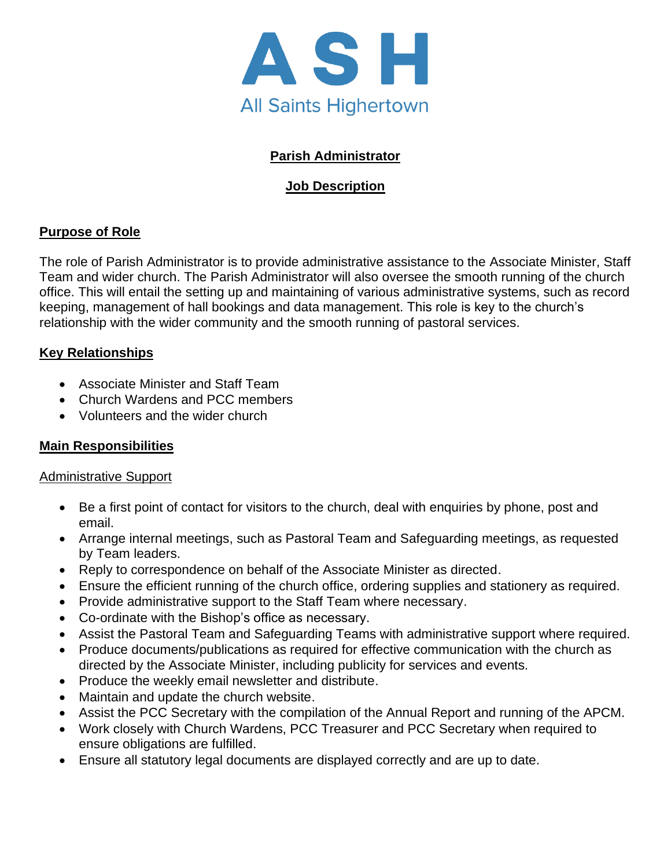

## **Parish Administrator**

## **Job Description**

## **Purpose of Role**

The role of Parish Administrator is to provide administrative assistance to the Associate Minister, Staff Team and wider church. The Parish Administrator will also oversee the smooth running of the church office. This will entail the setting up and maintaining of various administrative systems, such as record keeping, management of hall bookings and data management. This role is key to the church's relationship with the wider community and the smooth running of pastoral services.

#### **Key Relationships**

- Associate Minister and Staff Team
- Church Wardens and PCC members
- Volunteers and the wider church

## **Main Responsibilities**

#### Administrative Support

- Be a first point of contact for visitors to the church, deal with enquiries by phone, post and email.
- Arrange internal meetings, such as Pastoral Team and Safeguarding meetings, as requested by Team leaders.
- Reply to correspondence on behalf of the Associate Minister as directed.
- Ensure the efficient running of the church office, ordering supplies and stationery as required.
- Provide administrative support to the Staff Team where necessary.
- Co-ordinate with the Bishop's office as necessary.
- Assist the Pastoral Team and Safeguarding Teams with administrative support where required.
- Produce documents/publications as required for effective communication with the church as directed by the Associate Minister, including publicity for services and events.
- Produce the weekly email newsletter and distribute.
- Maintain and update the church website.
- Assist the PCC Secretary with the compilation of the Annual Report and running of the APCM.
- Work closely with Church Wardens, PCC Treasurer and PCC Secretary when required to ensure obligations are fulfilled.
- Ensure all statutory legal documents are displayed correctly and are up to date.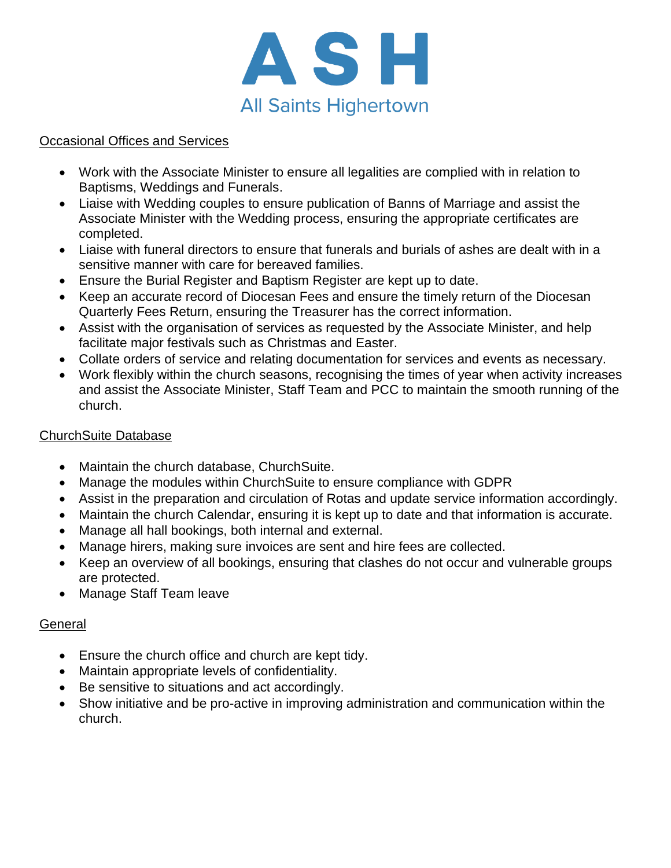

### Occasional Offices and Services

- Work with the Associate Minister to ensure all legalities are complied with in relation to Baptisms, Weddings and Funerals.
- Liaise with Wedding couples to ensure publication of Banns of Marriage and assist the Associate Minister with the Wedding process, ensuring the appropriate certificates are completed.
- Liaise with funeral directors to ensure that funerals and burials of ashes are dealt with in a sensitive manner with care for bereaved families.
- Ensure the Burial Register and Baptism Register are kept up to date.
- Keep an accurate record of Diocesan Fees and ensure the timely return of the Diocesan Quarterly Fees Return, ensuring the Treasurer has the correct information.
- Assist with the organisation of services as requested by the Associate Minister, and help facilitate major festivals such as Christmas and Easter.
- Collate orders of service and relating documentation for services and events as necessary.
- Work flexibly within the church seasons, recognising the times of year when activity increases and assist the Associate Minister, Staff Team and PCC to maintain the smooth running of the church.

#### ChurchSuite Database

- Maintain the church database, ChurchSuite.
- Manage the modules within ChurchSuite to ensure compliance with GDPR
- Assist in the preparation and circulation of Rotas and update service information accordingly.
- Maintain the church Calendar, ensuring it is kept up to date and that information is accurate.
- Manage all hall bookings, both internal and external.
- Manage hirers, making sure invoices are sent and hire fees are collected.
- Keep an overview of all bookings, ensuring that clashes do not occur and vulnerable groups are protected.
- Manage Staff Team leave

#### General

- Ensure the church office and church are kept tidy.
- Maintain appropriate levels of confidentiality.
- Be sensitive to situations and act accordingly.
- Show initiative and be pro-active in improving administration and communication within the church.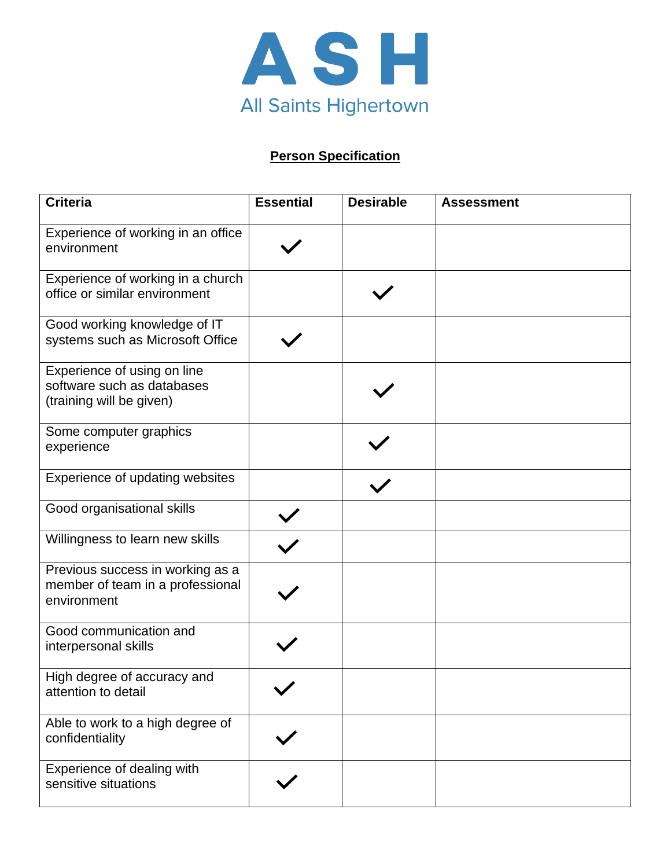

# **Person Specification**

| <b>Criteria</b>                                                                       | <b>Essential</b> | <b>Desirable</b> | <b>Assessment</b> |
|---------------------------------------------------------------------------------------|------------------|------------------|-------------------|
| Experience of working in an office<br>environment                                     |                  |                  |                   |
| Experience of working in a church<br>office or similar environment                    |                  |                  |                   |
| Good working knowledge of IT<br>systems such as Microsoft Office                      |                  |                  |                   |
| Experience of using on line<br>software such as databases<br>(training will be given) |                  |                  |                   |
| Some computer graphics<br>experience                                                  |                  |                  |                   |
| Experience of updating websites                                                       |                  |                  |                   |
| Good organisational skills                                                            |                  |                  |                   |
| Willingness to learn new skills                                                       |                  |                  |                   |
| Previous success in working as a<br>member of team in a professional<br>environment   |                  |                  |                   |
| Good communication and<br>interpersonal skills                                        |                  |                  |                   |
| High degree of accuracy and<br>attention to detail                                    |                  |                  |                   |
| Able to work to a high degree of<br>confidentiality                                   |                  |                  |                   |
| Experience of dealing with<br>sensitive situations                                    |                  |                  |                   |